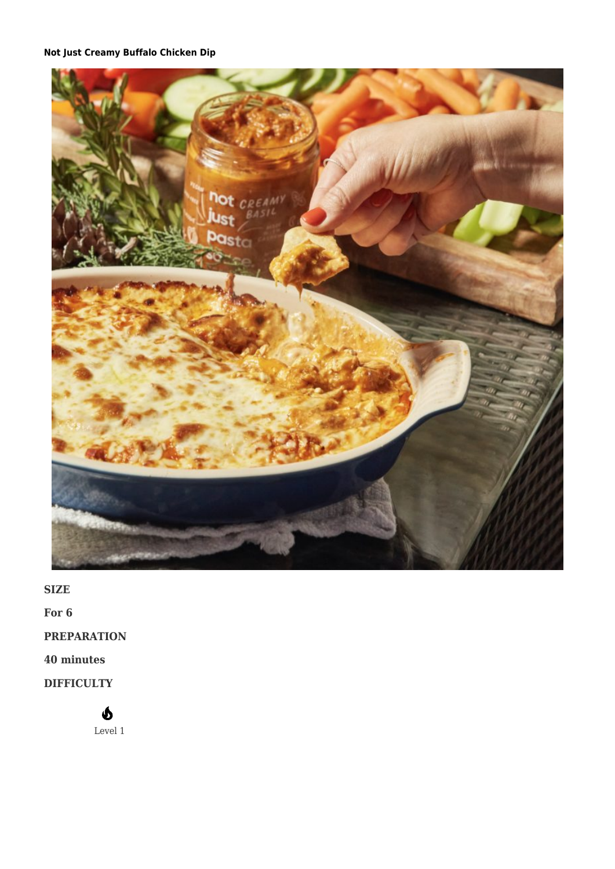# **[Not Just Creamy Buffalo Chicken Dip](https://afoodblog.notjust.co/2022/05/09/not-just-creamy-buffalo-chicken-dip/)**



**SIZE**

**For 6**

**PREPARATION**

## **40 minutes**

**DIFFICULTY**

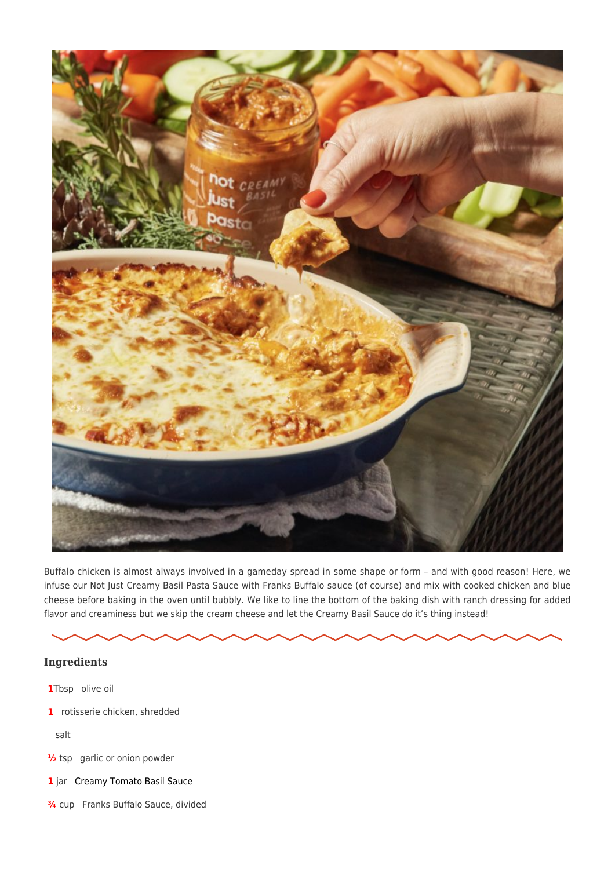

Buffalo chicken is almost always involved in a gameday spread in some shape or form – and with good reason! Here, we infuse our Not Just Creamy Basil Pasta Sauce with Franks Buffalo sauce (of course) and mix with cooked chicken and blue cheese before baking in the oven until bubbly. We like to line the bottom of the baking dish with ranch dressing for added flavor and creaminess but we skip the cream cheese and let the Creamy Basil Sauce do it's thing instead!

### **Ingredients**

- **1**Tbsp olive oil
- **1** rotisserie chicken, shredded

salt

- **1/2** tsp garlic or onion powder
- **1** jar [Creamy Tomato Basil Sauce](https://notjust.co/collections/not-just-pantry-staples/products/not-just-creamy-basil-pasta-sauce)
- **¾** cup Franks Buffalo Sauce, divided